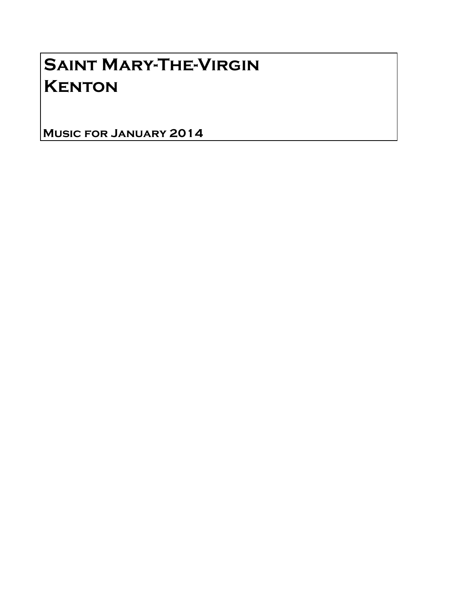## Saint Mary-The-Virgin **KENTON**

Music for January 2014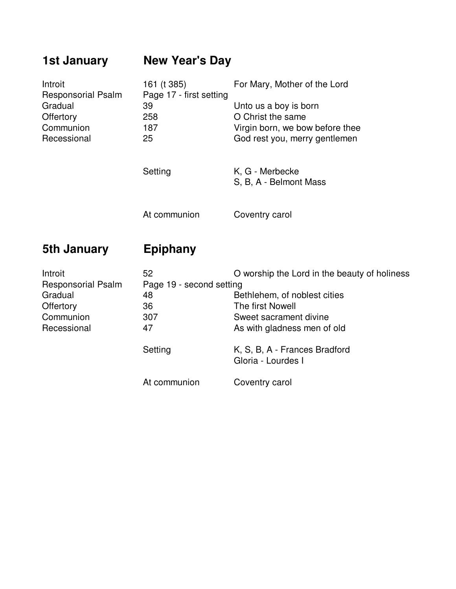## **1st January New Year's Day** Introit 161 (t 385) For Mary, Mother of the Lord<br>Responsorial Psalm Page 17 - first setting Page 17 - first setting Gradual 39 Unto us a boy is born Offertory 258 O Christ the same Communion 187 Virgin born, we bow before thee Recessional 25 God rest you, merry gentlemen Setting K, G - Merbecke S, B, A - Belmont Mass At communion Coventry carol

## **5th January Epiphany**

| Introit                   | 52                       | O worship the Lord in the beauty of holiness        |
|---------------------------|--------------------------|-----------------------------------------------------|
| <b>Responsorial Psalm</b> | Page 19 - second setting |                                                     |
| Gradual                   | 48                       | Bethlehem, of noblest cities                        |
| Offertory                 | 36                       | The first Nowell                                    |
| Communion                 | 307                      | Sweet sacrament divine                              |
| Recessional               | 47                       | As with gladness men of old                         |
|                           | Setting                  | K, S, B, A - Frances Bradford<br>Gloria - Lourdes I |
|                           | At communion             | Coventry carol                                      |